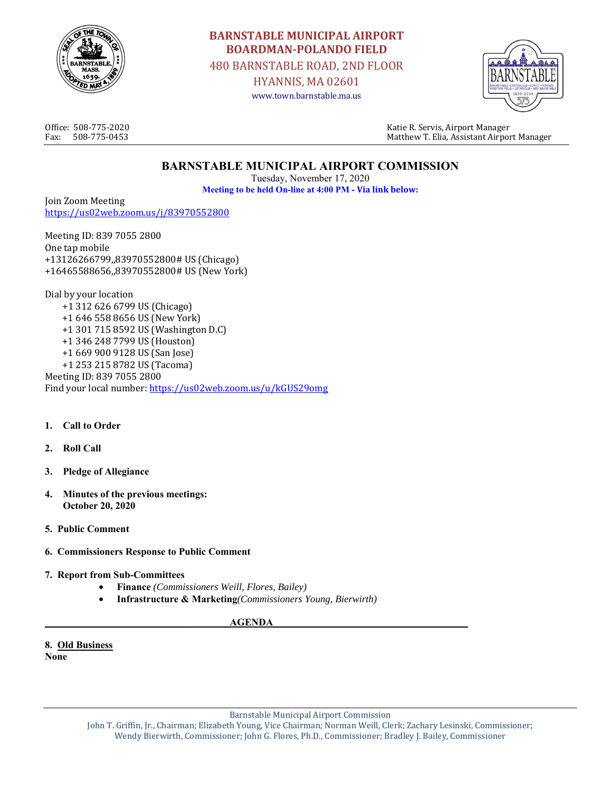

# **BARNSTABLE MUNICIPAL AIRPORT BOARDMAN-POLANDO FIELD**

480 BARNSTABLE ROAD, 2ND FLOOR

HYANNIS, MA 02601 www.town.barnstable.ma.us



Office: 508-775-2020 Katie R. Servis, Airport Manager Fax: 508-775-0453 Matthew T. Elia, Assistant Airport Manager

# **BARNSTABLE MUNICIPAL AIRPORT COMMISSION**

Tuesday, November 17, 2020 **Meeting to be held On-line at 4:00 PM - Via link below:** 

Join Zoom Meeting https://us02web.zoom.us/j/83970552800

Meeting ID: 839 7055 2800 One tap mobile +13126266799,,83970552800# US (Chicago) +16465588656,,83970552800# US (New York)

Dial by your location +1 312 626 6799 US (Chicago) +1 646 558 8656 US (New York) +1 301 715 8592 US (Washington D.C) +1 346 248 7799 US (Houston) +1 669 900 9128 US (San Jose) +1 253 215 8782 US (Tacoma) Meeting ID: 839 7055 2800 Find your local number: https://us02web.zoom.us/u/kGUS29omg

- **1. Call to Order**
- **2. Roll Call**
- **3. Pledge of Allegiance**
- **4. Minutes of the previous meetings: October 20, 2020**
- **5. Public Comment**
- **6. Commissioners Response to Public Comment**
- **7. Report from Sub-Committees** 
	- **Finance** *(Commissioners Weill, Flores, Bailey)*
	- **Infrastructure & Marketing***(Commissioners Young, Bierwirth)*

#### **AGENDA**

**8. Old Business None** 

Barnstable Municipal Airport Commission

John T. Griffin, Jr., Chairman; Elizabeth Young, Vice Chairman; Norman Weill, Clerk; Zachary Lesinski, Commissioner; Wendy Bierwirth, Commissioner; John G. Flores, Ph.D., Commissioner; Bradley J. Bailey, Commissioner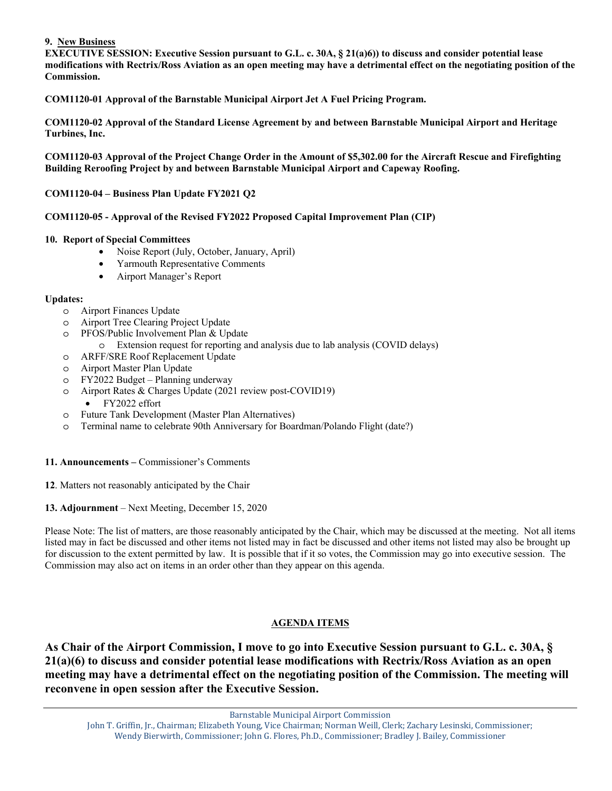#### **9. New Business**

**EXECUTIVE SESSION: Executive Session pursuant to G.L. c. 30A, § 21(a)6)) to discuss and consider potential lease modifications with Rectrix/Ross Aviation as an open meeting may have a detrimental effect on the negotiating position of the Commission.** 

**COM1120-01 Approval of the Barnstable Municipal Airport Jet A Fuel Pricing Program.** 

**COM1120-02 Approval of the Standard License Agreement by and between Barnstable Municipal Airport and Heritage Turbines, Inc.** 

**COM1120-03 Approval of the Project Change Order in the Amount of \$5,302.00 for the Aircraft Rescue and Firefighting Building Reroofing Project by and between Barnstable Municipal Airport and Capeway Roofing.** 

**COM1120-04 – Business Plan Update FY2021 Q2** 

#### **COM1120-05 - Approval of the Revised FY2022 Proposed Capital Improvement Plan (CIP)**

#### **10. Report of Special Committees**

- Noise Report (July, October, January, April)
- Yarmouth Representative Comments
- Airport Manager's Report

#### **Updates:**

- o Airport Finances Update
- o Airport Tree Clearing Project Update
- o PFOS/Public Involvement Plan & Update
	- o Extension request for reporting and analysis due to lab analysis (COVID delays)
- o ARFF/SRE Roof Replacement Update
- o Airport Master Plan Update
- o FY2022 Budget Planning underway
- o Airport Rates & Charges Update (2021 review post-COVID19)
	- FY2022 effort
- o Future Tank Development (Master Plan Alternatives)
- o Terminal name to celebrate 90th Anniversary for Boardman/Polando Flight (date?)

#### **11. Announcements –** Commissioner's Comments

- **12**. Matters not reasonably anticipated by the Chair
- **13. Adjournment** Next Meeting, December 15, 2020

Please Note: The list of matters, are those reasonably anticipated by the Chair, which may be discussed at the meeting. Not all items listed may in fact be discussed and other items not listed may in fact be discussed and other items not listed may also be brought up for discussion to the extent permitted by law. It is possible that if it so votes, the Commission may go into executive session. The Commission may also act on items in an order other than they appear on this agenda.

#### **AGENDA ITEMS**

**As Chair of the Airport Commission, I move to go into Executive Session pursuant to G.L. c. 30A, § 21(a)(6) to discuss and consider potential lease modifications with Rectrix/Ross Aviation as an open meeting may have a detrimental effect on the negotiating position of the Commission. The meeting will reconvene in open session after the Executive Session.**